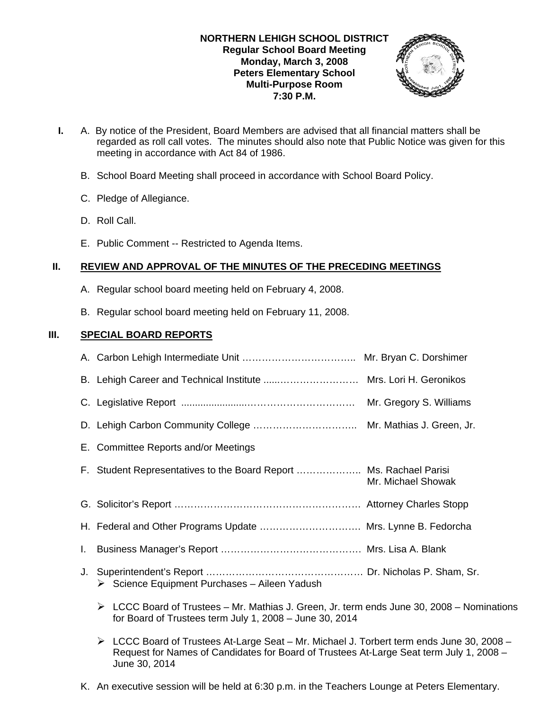## **NORTHERN LEHIGH SCHOOL DISTRICT Regular School Board Meeting Monday, March 3, 2008 Peters Elementary School Multi-Purpose Room 7:30 P.M.**



- **I.** A. By notice of the President, Board Members are advised that all financial matters shall be regarded as roll call votes. The minutes should also note that Public Notice was given for this meeting in accordance with Act 84 of 1986.
	- B. School Board Meeting shall proceed in accordance with School Board Policy.
	- C. Pledge of Allegiance.
	- D. Roll Call.
	- E. Public Comment -- Restricted to Agenda Items.

# **II. REVIEW AND APPROVAL OF THE MINUTES OF THE PRECEDING MEETINGS**

- A. Regular school board meeting held on February 4, 2008.
- B. Regular school board meeting held on February 11, 2008.

# **III. SPECIAL BOARD REPORTS**

|                                                                    | Mr. Gregory S. Williams |
|--------------------------------------------------------------------|-------------------------|
|                                                                    |                         |
| E. Committee Reports and/or Meetings                               |                         |
| F. Student Representatives to the Board Report  Ms. Rachael Parisi | Mr. Michael Showak      |
|                                                                    |                         |
| H. Federal and Other Programs Update  Mrs. Lynne B. Fedorcha       |                         |
|                                                                    |                         |
| $\triangleright$ Science Equipment Purchases – Aileen Yadush       |                         |
|                                                                    |                         |

- $\triangleright$  LCCC Board of Trustees Mr. Mathias J. Green, Jr. term ends June 30, 2008 Nominations for Board of Trustees term July 1, 2008 – June 30, 2014
- $\triangleright$  LCCC Board of Trustees At-Large Seat Mr. Michael J. Torbert term ends June 30, 2008 Request for Names of Candidates for Board of Trustees At-Large Seat term July 1, 2008 – June 30, 2014
- K. An executive session will be held at 6:30 p.m. in the Teachers Lounge at Peters Elementary.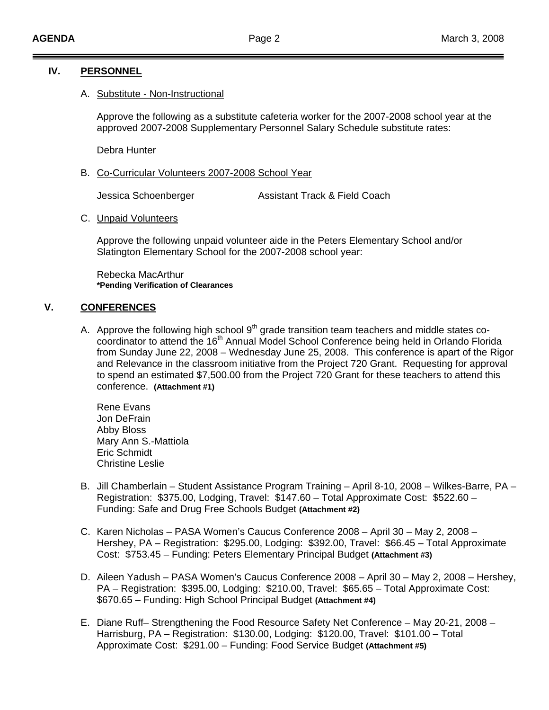## **IV. PERSONNEL**

### A. Substitute - Non-Instructional

Approve the following as a substitute cafeteria worker for the 2007-2008 school year at the approved 2007-2008 Supplementary Personnel Salary Schedule substitute rates:

Debra Hunter

B. Co-Curricular Volunteers 2007-2008 School Year

Jessica Schoenberger **Assistant Track & Field Coach** 

C. Unpaid Volunteers

Approve the following unpaid volunteer aide in the Peters Elementary School and/or Slatington Elementary School for the 2007-2008 school year:

Rebecka MacArthur **\*Pending Verification of Clearances**

## **V. CONFERENCES**

A. Approve the following high school  $9<sup>th</sup>$  grade transition team teachers and middle states cocoordinator to attend the 16<sup>th</sup> Annual Model School Conference being held in Orlando Florida from Sunday June 22, 2008 – Wednesday June 25, 2008. This conference is apart of the Rigor and Relevance in the classroom initiative from the Project 720 Grant. Requesting for approval to spend an estimated \$7,500.00 from the Project 720 Grant for these teachers to attend this conference. **(Attachment #1)**

Rene Evans Jon DeFrain Abby Bloss Mary Ann S.-Mattiola Eric Schmidt Christine Leslie

- B. Jill Chamberlain Student Assistance Program Training April 8-10, 2008 Wilkes-Barre, PA Registration: \$375.00, Lodging, Travel: \$147.60 – Total Approximate Cost: \$522.60 – Funding: Safe and Drug Free Schools Budget **(Attachment #2)**
- C. Karen Nicholas PASA Women's Caucus Conference 2008 April 30 May 2, 2008 Hershey, PA – Registration: \$295.00, Lodging: \$392.00, Travel: \$66.45 – Total Approximate Cost: \$753.45 – Funding: Peters Elementary Principal Budget **(Attachment #3)**
- D. Aileen Yadush PASA Women's Caucus Conference 2008 April 30 May 2, 2008 Hershey, PA – Registration: \$395.00, Lodging: \$210.00, Travel: \$65.65 – Total Approximate Cost: \$670.65 – Funding: High School Principal Budget **(Attachment #4)**
- E. Diane Ruff– Strengthening the Food Resource Safety Net Conference May 20-21, 2008 Harrisburg, PA – Registration: \$130.00, Lodging: \$120.00, Travel: \$101.00 – Total Approximate Cost: \$291.00 – Funding: Food Service Budget **(Attachment #5)**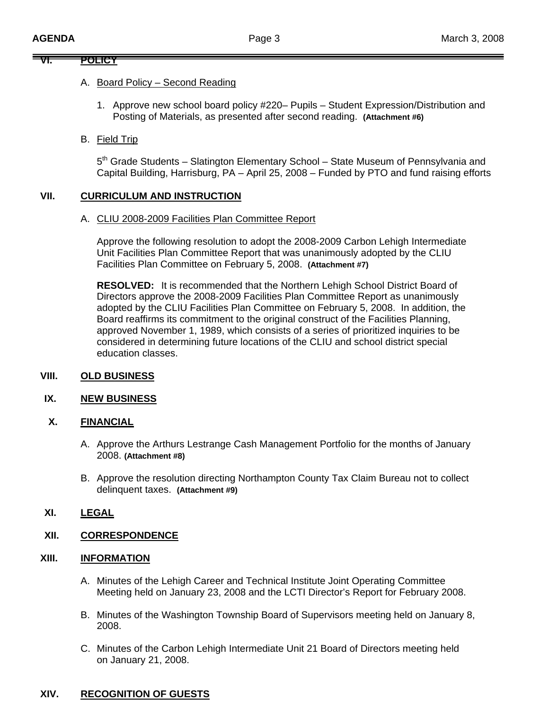# **VI. POLICY**

## A. Board Policy – Second Reading

1. Approve new school board policy #220– Pupils – Student Expression/Distribution and Posting of Materials, as presented after second reading. **(Attachment #6)**

# B. Field Trip

5<sup>th</sup> Grade Students – Slatington Elementary School – State Museum of Pennsylvania and Capital Building, Harrisburg, PA – April 25, 2008 – Funded by PTO and fund raising efforts

## **VII. CURRICULUM AND INSTRUCTION**

#### A. CLIU 2008-2009 Facilities Plan Committee Report

 Approve the following resolution to adopt the 2008-2009 Carbon Lehigh Intermediate Unit Facilities Plan Committee Report that was unanimously adopted by the CLIU Facilities Plan Committee on February 5, 2008. **(Attachment #7)** 

 **RESOLVED:** It is recommended that the Northern Lehigh School District Board of Directors approve the 2008-2009 Facilities Plan Committee Report as unanimously adopted by the CLIU Facilities Plan Committee on February 5, 2008. In addition, the Board reaffirms its commitment to the original construct of the Facilities Planning, approved November 1, 1989, which consists of a series of prioritized inquiries to be considered in determining future locations of the CLIU and school district special education classes.

## **VIII. OLD BUSINESS**

#### **IX. NEW BUSINESS**

#### **X. FINANCIAL**

- A. Approve the Arthurs Lestrange Cash Management Portfolio for the months of January 2008. **(Attachment #8)**
- B. Approve the resolution directing Northampton County Tax Claim Bureau not to collect delinquent taxes. **(Attachment #9)**

# **XI. LEGAL**

# **XII. CORRESPONDENCE**

## **XIII. INFORMATION**

- A. Minutes of the Lehigh Career and Technical Institute Joint Operating Committee Meeting held on January 23, 2008 and the LCTI Director's Report for February 2008.
- B. Minutes of the Washington Township Board of Supervisors meeting held on January 8, 2008.
- C. Minutes of the Carbon Lehigh Intermediate Unit 21 Board of Directors meeting held on January 21, 2008.

# **XIV. RECOGNITION OF GUESTS**